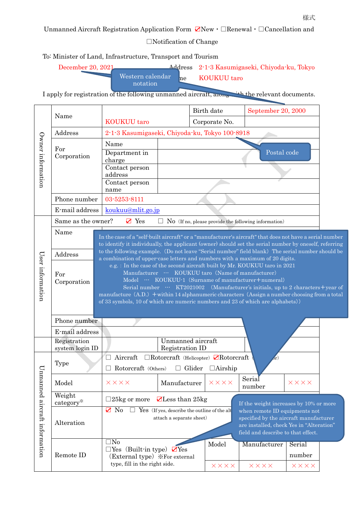Unmanned Aircraft Registration Application Form ☑New・□Renewal・□Cancellation and

□Notification of Change

To: Minister of Land, Infrastructure, Transport and Tourism

| December 20, 2021 |                              |    | Address 2-1-3 Kasumigaseki, Chiyoda-ku, Tokyo |  |  |
|-------------------|------------------------------|----|-----------------------------------------------|--|--|
|                   | Western calendar<br>notation | he | KOUKUU taro                                   |  |  |

I apply for registration of the following unmanned aircraft, along with the relevant documents.

| Owner information            |                                                                                                       |                                                                                                                                      |                                                                                                                                                                                                           | Birth date                   | September 20, 2000                                                             |                 |  |  |  |
|------------------------------|-------------------------------------------------------------------------------------------------------|--------------------------------------------------------------------------------------------------------------------------------------|-----------------------------------------------------------------------------------------------------------------------------------------------------------------------------------------------------------|------------------------------|--------------------------------------------------------------------------------|-----------------|--|--|--|
|                              | Name                                                                                                  | <b>KOUKUU</b> taro                                                                                                                   |                                                                                                                                                                                                           | Corporate No.                |                                                                                |                 |  |  |  |
|                              | Address                                                                                               | 2-1-3 Kasumigaseki, Chiyoda-ku, Tokyo 100-8918                                                                                       |                                                                                                                                                                                                           |                              |                                                                                |                 |  |  |  |
|                              |                                                                                                       | Name                                                                                                                                 |                                                                                                                                                                                                           |                              |                                                                                |                 |  |  |  |
|                              | For<br>Corporation                                                                                    | Department in                                                                                                                        |                                                                                                                                                                                                           |                              | Postal code                                                                    |                 |  |  |  |
|                              |                                                                                                       | charge<br>Contact person                                                                                                             |                                                                                                                                                                                                           |                              |                                                                                |                 |  |  |  |
|                              |                                                                                                       | address                                                                                                                              |                                                                                                                                                                                                           |                              |                                                                                |                 |  |  |  |
|                              |                                                                                                       | Contact person<br>name                                                                                                               |                                                                                                                                                                                                           |                              |                                                                                |                 |  |  |  |
|                              | Phone number                                                                                          | 03-5253-8111                                                                                                                         |                                                                                                                                                                                                           |                              |                                                                                |                 |  |  |  |
|                              | E-mail address                                                                                        | koukuu@mlit.go.jp                                                                                                                    |                                                                                                                                                                                                           |                              |                                                                                |                 |  |  |  |
|                              | Same as the owner?<br>$\mathbf{Z}$ Yes<br>$\Box$ No (If no, please provide the following information) |                                                                                                                                      |                                                                                                                                                                                                           |                              |                                                                                |                 |  |  |  |
|                              | Name                                                                                                  |                                                                                                                                      |                                                                                                                                                                                                           |                              |                                                                                |                 |  |  |  |
|                              |                                                                                                       | In the case of a "self-built aircraft" or a "manufacturer's aircraft" that does not have a serial number                             |                                                                                                                                                                                                           |                              |                                                                                |                 |  |  |  |
|                              | Address                                                                                               |                                                                                                                                      | to identify it individually, the applicant (owner) should set the serial number by oneself, referring<br>to the following example. (Do not leave "Serial number" field blank) The serial number should be |                              |                                                                                |                 |  |  |  |
| User information             |                                                                                                       | a combination of upper-case letters and numbers with a maximum of 20 digits.                                                         |                                                                                                                                                                                                           |                              |                                                                                |                 |  |  |  |
|                              | For                                                                                                   | e.g. : In the case of the second aircraft built by Mr. KOUKUU taro in 2021<br>Manufacturer  KOUKUU taro (Name of manufacturer)       |                                                                                                                                                                                                           |                              |                                                                                |                 |  |  |  |
|                              | Corporation                                                                                           | Model … KOUKUU-1 (Surname of manufacturer+numeral)<br>Serial number … KT2021002 (Manufacturer's initials, up to 2 characters+year of |                                                                                                                                                                                                           |                              |                                                                                |                 |  |  |  |
|                              |                                                                                                       | manufacture $(A.D.)$ + within 14 alphanumeric characters (Assign a number choosing from a total                                      |                                                                                                                                                                                                           |                              |                                                                                |                 |  |  |  |
|                              |                                                                                                       | of 33 symbols, 10 of which are numeric numbers and 23 of which are alphabets))                                                       |                                                                                                                                                                                                           |                              |                                                                                |                 |  |  |  |
|                              |                                                                                                       |                                                                                                                                      |                                                                                                                                                                                                           |                              |                                                                                |                 |  |  |  |
|                              |                                                                                                       |                                                                                                                                      |                                                                                                                                                                                                           |                              |                                                                                |                 |  |  |  |
|                              | Phone number                                                                                          |                                                                                                                                      |                                                                                                                                                                                                           |                              |                                                                                |                 |  |  |  |
|                              | E-mail address                                                                                        |                                                                                                                                      |                                                                                                                                                                                                           |                              |                                                                                |                 |  |  |  |
|                              | Registration                                                                                          |                                                                                                                                      | Unmanned aircraft                                                                                                                                                                                         |                              |                                                                                |                 |  |  |  |
|                              | system login ID                                                                                       | Aircraft                                                                                                                             | Registration ID<br>$\Box$ Rotorcraft (Helicopter) $\Box$ Rotorcraft                                                                                                                                       |                              | $_{\rm 0r})$                                                                   |                 |  |  |  |
| $\mathbf{U}_{\mathbf{I}}$    | Type                                                                                                  | Rotorcraft (Others)<br>$\mathbf{L}$                                                                                                  |                                                                                                                                                                                                           | $\Box$ Glider $\Box$ Airship |                                                                                |                 |  |  |  |
|                              |                                                                                                       |                                                                                                                                      |                                                                                                                                                                                                           |                              | Serial                                                                         |                 |  |  |  |
|                              | Model                                                                                                 | $\times\times\times\times$                                                                                                           | Manufacturer                                                                                                                                                                                              | $\times\times\times\times$   | number                                                                         | $X$ $X$ $X$ $X$ |  |  |  |
|                              | Weight                                                                                                | $\Box$ 25kg or more                                                                                                                  | $\blacktriangleright$ Less than 25kg                                                                                                                                                                      |                              |                                                                                |                 |  |  |  |
|                              | category*                                                                                             | $\mathbf{Z}$ No                                                                                                                      | $\Box$ Yes (If yes, describe the outline of the alt                                                                                                                                                       |                              | If the weight increases by 10% or more<br>when remote ID equipments not        |                 |  |  |  |
|                              |                                                                                                       |                                                                                                                                      | attach a separate sheet)                                                                                                                                                                                  |                              | specified by the aircraft manufacturer                                         |                 |  |  |  |
|                              | Alteration                                                                                            |                                                                                                                                      |                                                                                                                                                                                                           |                              | are installed, check Yes in "Alteration"<br>field and describe to that effect. |                 |  |  |  |
|                              |                                                                                                       | $\square$ No                                                                                                                         |                                                                                                                                                                                                           | Model                        | Manufacturer                                                                   | Serial          |  |  |  |
| nmanned aircraft information | Remote ID                                                                                             | $\Box$ Yes (Built-in type) $\Box$ Yes<br>(External type) *For external                                                               |                                                                                                                                                                                                           |                              |                                                                                | number          |  |  |  |